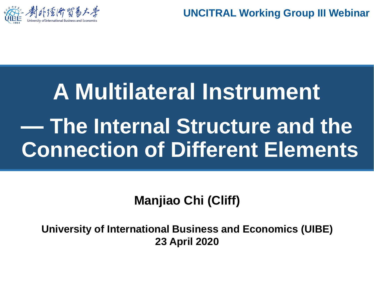

**UNCITRAL Working Group III Webinar**

## **A Multilateral Instrument — The Internal Structure and the Connection of Different Elements**

**Manjiao Chi (Cliff)**

**University of International Business and Economics (UIBE) 23 April 2020**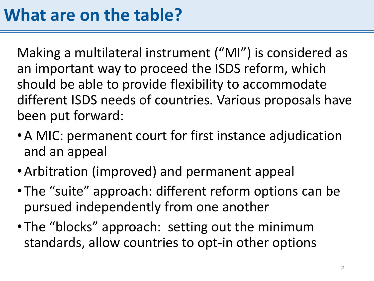Making a multilateral instrument ("MI") is considered as an important way to proceed the ISDS reform, which should be able to provide flexibility to accommodate different ISDS needs of countries. Various proposals have been put forward:

- •A MIC: permanent court for first instance adjudication and an appeal
- •Arbitration (improved) and permanent appeal
- The "suite" approach: different reform options can be pursued independently from one another
- The "blocks" approach: setting out the minimum standards, allow countries to opt-in other options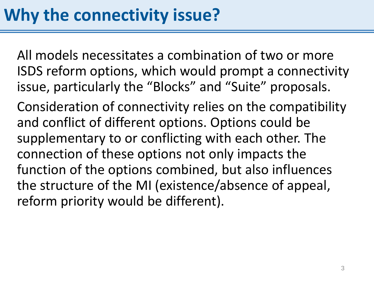All models necessitates a combination of two or more ISDS reform options, which would prompt a connectivity issue, particularly the "Blocks" and "Suite" proposals.

Consideration of connectivity relies on the compatibility and conflict of different options. Options could be supplementary to or conflicting with each other. The connection of these options not only impacts the function of the options combined, but also influences the structure of the MI (existence/absence of appeal, reform priority would be different).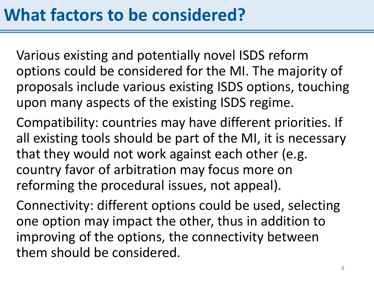Various existing and potentially novel ISDS reform options could be considered for the MI. The majority of proposals include various existing ISDS options, touching upon many aspects of the existing ISDS regime.

Compatibility: countries may have different priorities. If all existing tools should be part of the MI, it is necessary that they would not work against each other (e.g. country favor of arbitration may focus more on reforming the procedural issues, not appeal).

Connectivity: different options could be used, selecting one option may impact the other, thus in addition to improving of the options, the connectivity between them should be considered.